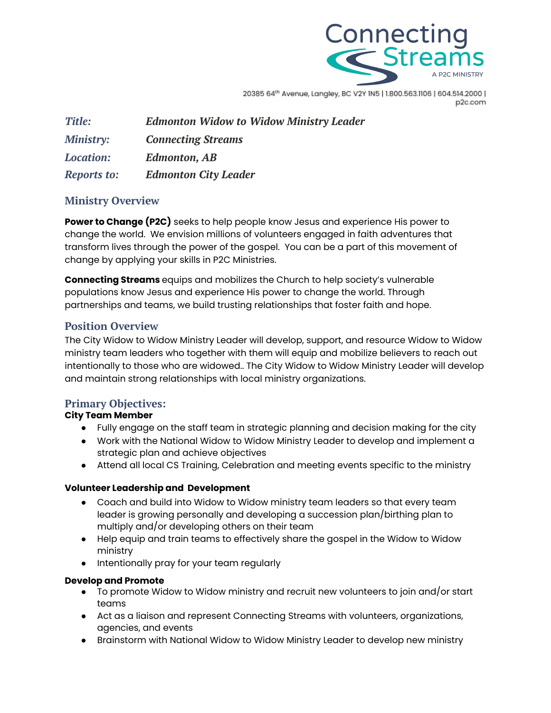

20385 64th Avenue, Langley, BC V2Y IN5 | 1.800.563.1106 | 604.514.2000 | p2c.com

| <b>Title:</b>      | <b>Edmonton Widow to Widow Ministry Leader</b> |
|--------------------|------------------------------------------------|
| <b>Ministry:</b>   | <b>Connecting Streams</b>                      |
| <b>Location:</b>   | <b>Edmonton, AB</b>                            |
| <b>Reports to:</b> | <b>Edmonton City Leader</b>                    |

## **Ministry Overview**

**Power to Change (P2C)** seeks to help people know Jesus and experience His power to change the world. We envision millions of volunteers engaged in faith adventures that transform lives through the power of the gospel. You can be a part of this movement of change by applying your skills in P2C Ministries.

**Connecting Streams** equips and mobilizes the Church to help society's vulnerable populations know Jesus and experience His power to change the world. Through partnerships and teams, we build trusting relationships that foster faith and hope.

# **Position Overview**

The City Widow to Widow Ministry Leader will develop, support, and resource Widow to Widow ministry team leaders who together with them will equip and mobilize believers to reach out intentionally to those who are widowed.. The City Widow to Widow Ministry Leader will develop and maintain strong relationships with local ministry organizations.

## **Primary Objectives:**

## **City Team Member**

- Fully engage on the staff team in strategic planning and decision making for the city
- Work with the National Widow to Widow Ministry Leader to develop and implement a strategic plan and achieve objectives
- Attend all local CS Training, Celebration and meeting events specific to the ministry

### **Volunteer Leadership and Development**

- Coach and build into Widow to Widow ministry team leaders so that every team leader is growing personally and developing a succession plan/birthing plan to multiply and/or developing others on their team
- Help equip and train teams to effectively share the gospel in the Widow to Widow ministry
- Intentionally pray for your team regularly

### **Develop and Promote**

- To promote Widow to Widow ministry and recruit new volunteers to join and/or start teams
- Act as a liaison and represent Connecting Streams with volunteers, organizations, agencies, and events
- Brainstorm with National Widow to Widow Ministry Leader to develop new ministry